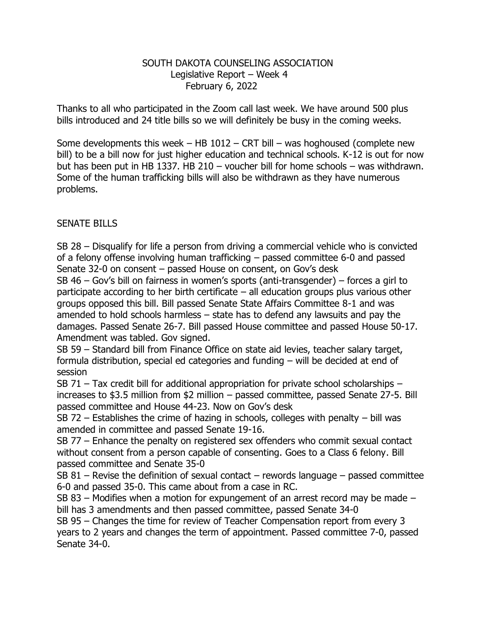## SOUTH DAKOTA COUNSELING ASSOCIATION Legislative Report – Week 4 February 6, 2022

Thanks to all who participated in the Zoom call last week. We have around 500 plus bills introduced and 24 title bills so we will definitely be busy in the coming weeks.

Some developments this week – HB  $1012$  – CRT bill – was hoghoused (complete new bill) to be a bill now for just higher education and technical schools. K-12 is out for now but has been put in HB 1337. HB 210 – voucher bill for home schools – was withdrawn. Some of the human trafficking bills will also be withdrawn as they have numerous problems.

## SENATE BILLS

SB 28 – Disqualify for life a person from driving a commercial vehicle who is convicted of a felony offense involving human trafficking – passed committee 6-0 and passed Senate 32-0 on consent – passed House on consent, on Gov's desk

SB 46 – Gov's bill on fairness in women's sports (anti-transgender) – forces a girl to participate according to her birth certificate – all education groups plus various other groups opposed this bill. Bill passed Senate State Affairs Committee 8-1 and was amended to hold schools harmless – state has to defend any lawsuits and pay the damages. Passed Senate 26-7. Bill passed House committee and passed House 50-17. Amendment was tabled. Gov signed.

SB 59 – Standard bill from Finance Office on state aid levies, teacher salary target, formula distribution, special ed categories and funding – will be decided at end of session

SB 71 – Tax credit bill for additional appropriation for private school scholarships – increases to \$3.5 million from \$2 million – passed committee, passed Senate 27-5. Bill passed committee and House 44-23. Now on Gov's desk

SB 72 – Establishes the crime of hazing in schools, colleges with penalty – bill was amended in committee and passed Senate 19-16.

SB 77 – Enhance the penalty on registered sex offenders who commit sexual contact without consent from a person capable of consenting. Goes to a Class 6 felony. Bill passed committee and Senate 35-0

SB 81 – Revise the definition of sexual contact – rewords language – passed committee 6-0 and passed 35-0. This came about from a case in RC.

SB 83 – Modifies when a motion for expungement of an arrest record may be made – bill has 3 amendments and then passed committee, passed Senate 34-0

SB 95 – Changes the time for review of Teacher Compensation report from every 3 years to 2 years and changes the term of appointment. Passed committee 7-0, passed Senate 34-0.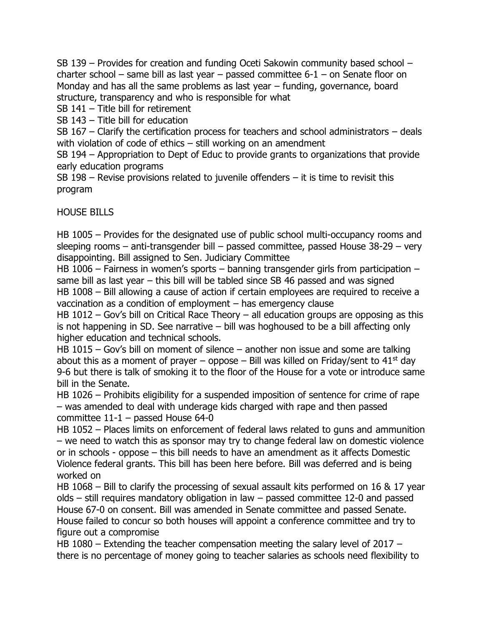SB 139 – Provides for creation and funding Oceti Sakowin community based school – charter school – same bill as last year – passed committee 6-1 – on Senate floor on Monday and has all the same problems as last year – funding, governance, board structure, transparency and who is responsible for what

SB 141 – Title bill for retirement

SB 143 – Title bill for education

SB 167 – Clarify the certification process for teachers and school administrators – deals with violation of code of ethics – still working on an amendment

SB 194 – Appropriation to Dept of Educ to provide grants to organizations that provide early education programs

SB 198 – Revise provisions related to juvenile offenders  $-$  it is time to revisit this program

HOUSE BILLS

HB 1005 – Provides for the designated use of public school multi-occupancy rooms and sleeping rooms – anti-transgender bill – passed committee, passed House 38-29 – very disappointing. Bill assigned to Sen. Judiciary Committee

HB 1006 – Fairness in women's sports – banning transgender girls from participation – same bill as last year – this bill will be tabled since SB 46 passed and was signed HB 1008 – Bill allowing a cause of action if certain employees are required to receive a

vaccination as a condition of employment – has emergency clause

HB 1012 – Gov's bill on Critical Race Theory – all education groups are opposing as this is not happening in SD. See narrative – bill was hoghoused to be a bill affecting only higher education and technical schools.

HB 1015 – Gov's bill on moment of silence – another non issue and some are talking about this as a moment of prayer – oppose – Bill was killed on Friday/sent to  $41^{st}$  day 9-6 but there is talk of smoking it to the floor of the House for a vote or introduce same bill in the Senate.

HB 1026 – Prohibits eligibility for a suspended imposition of sentence for crime of rape – was amended to deal with underage kids charged with rape and then passed committee 11-1 – passed House 64-0

HB 1052 – Places limits on enforcement of federal laws related to guns and ammunition – we need to watch this as sponsor may try to change federal law on domestic violence or in schools - oppose – this bill needs to have an amendment as it affects Domestic Violence federal grants. This bill has been here before. Bill was deferred and is being worked on

HB 1068 – Bill to clarify the processing of sexual assault kits performed on 16 & 17 year olds – still requires mandatory obligation in law – passed committee 12-0 and passed House 67-0 on consent. Bill was amended in Senate committee and passed Senate. House failed to concur so both houses will appoint a conference committee and try to figure out a compromise

HB 1080 – Extending the teacher compensation meeting the salary level of 2017 – there is no percentage of money going to teacher salaries as schools need flexibility to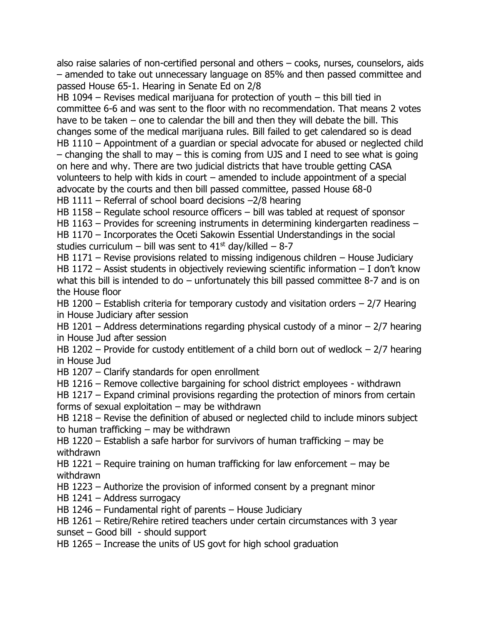also raise salaries of non-certified personal and others – cooks, nurses, counselors, aids – amended to take out unnecessary language on 85% and then passed committee and passed House 65-1. Hearing in Senate Ed on 2/8

HB 1094 – Revises medical marijuana for protection of youth – this bill tied in committee 6-6 and was sent to the floor with no recommendation. That means 2 votes have to be taken – one to calendar the bill and then they will debate the bill. This changes some of the medical marijuana rules. Bill failed to get calendared so is dead HB 1110 – Appointment of a guardian or special advocate for abused or neglected child – changing the shall to may – this is coming from UJS and I need to see what is going on here and why. There are two judicial districts that have trouble getting CASA volunteers to help with kids in court – amended to include appointment of a special advocate by the courts and then bill passed committee, passed House 68-0 HB 1111 – Referral of school board decisions –2/8 hearing

HB 1158 – Regulate school resource officers – bill was tabled at request of sponsor

HB 1163 – Provides for screening instruments in determining kindergarten readiness – HB 1170 – Incorporates the Oceti Sakowin Essential Understandings in the social studies curriculum – bill was sent to  $41<sup>st</sup>$  day/killed – 8-7

HB 1171 – Revise provisions related to missing indigenous children – House Judiciary HB 1172 – Assist students in objectively reviewing scientific information – I don't know what this bill is intended to do – unfortunately this bill passed committee 8-7 and is on the House floor

HB 1200 – Establish criteria for temporary custody and visitation orders – 2/7 Hearing in House Judiciary after session

HB 1201 – Address determinations regarding physical custody of a minor  $-2/7$  hearing in House Jud after session

HB 1202 – Provide for custody entitlement of a child born out of wedlock  $-2/7$  hearing in House Jud

HB 1207 – Clarify standards for open enrollment

HB 1216 – Remove collective bargaining for school district employees - withdrawn

HB 1217 – Expand criminal provisions regarding the protection of minors from certain forms of sexual exploitation  $-$  may be withdrawn

HB 1218 – Revise the definition of abused or neglected child to include minors subject to human trafficking – may be withdrawn

HB 1220 – Establish a safe harbor for survivors of human trafficking – may be withdrawn

HB 1221 – Require training on human trafficking for law enforcement – may be withdrawn

HB 1223 – Authorize the provision of informed consent by a pregnant minor

HB 1241 – Address surrogacy

HB 1246 – Fundamental right of parents – House Judiciary

HB 1261 – Retire/Rehire retired teachers under certain circumstances with 3 year sunset – Good bill - should support

HB 1265 – Increase the units of US govt for high school graduation